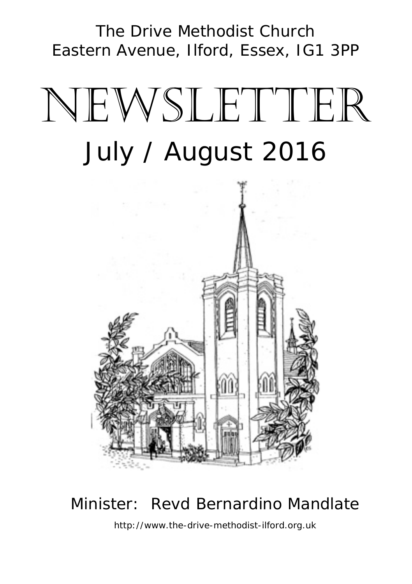The Drive Methodist Church Eastern Avenue, Ilford, Essex, IG1 3PP

# NEWSLETTER July / August 2016



# Minister: Revd Bernardino Mandlate

http://www.the-drive-methodist-ilford.org.uk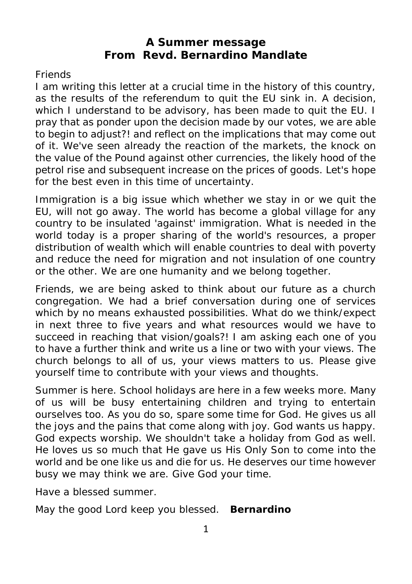#### **A Summer message From Revd. Bernardino Mandlate**

#### **Friends**

I am writing this letter at a crucial time in the history of this country, as the results of the referendum to quit the EU sink in. A decision, which I understand to be advisory, has been made to quit the EU. I pray that as ponder upon the decision made by our votes, we are able to begin to adjust?! and reflect on the implications that may come out of it. We've seen already the reaction of the markets, the knock on the value of the Pound against other currencies, the likely hood of the petrol rise and subsequent increase on the prices of goods. Let's hope for the best even in this time of uncertainty.

Immigration is a big issue which whether we stay in or we quit the EU, will not go away. The world has become a global village for any country to be insulated 'against' immigration. What is needed in the world today is a proper sharing of the world's resources, a proper distribution of wealth which will enable countries to deal with poverty and reduce the need for migration and not insulation of one country or the other. We are one humanity and we belong together.

Friends, we are being asked to think about our future as a church congregation. We had a brief conversation during one of services which by no means exhausted possibilities. What do we think/expect in next three to five years and what resources would we have to succeed in reaching that vision/goals?! I am asking each one of you to have a further think and write us a line or two with your views. The church belongs to all of us, your views matters to us. Please give yourself time to contribute with your views and thoughts.

Summer is here. School holidays are here in a few weeks more. Many of us will be busy entertaining children and trying to entertain ourselves too. As you do so, spare some time for God. He gives us all the joys and the pains that come along with joy. God wants us happy. God expects worship. We shouldn't take a holiday from God as well. He loves us so much that He gave us His Only Son to come into the world and be one like us and die for us. He deserves our time however busy we may think we are. Give God your time.

Have a blessed summer.

May the good Lord keep you blessed. *Bernardino*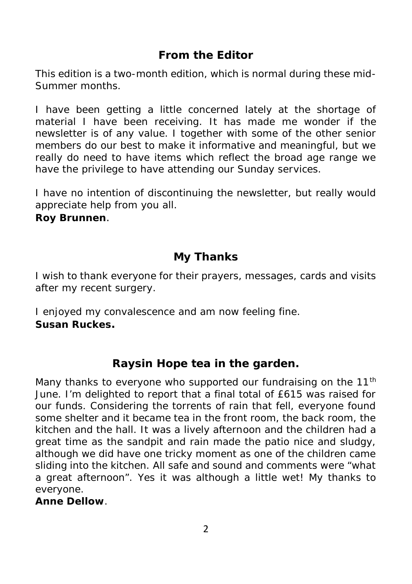# **From the Editor**

This edition is a two-month edition, which is normal during these mid- Summer months.

I have been getting a little concerned lately at the shortage of material I have been receiving. It has made me wonder if the newsletter is of any value. I together with some of the other senior members do our best to make it informative and meaningful, but we really do need to have items which reflect the broad age range we have the privilege to have attending our Sunday services.

I have no intention of discontinuing the newsletter, but really would appreciate help from you all. *Roy Brunnen*.

## **My Thanks**

I wish to thank everyone for their prayers, messages, cards and visits after my recent surgery.

I enjoyed my convalescence and am now feeling fine. *Susan Ruckes.*

**Raysin Hope tea in the garden.**

Many thanks to everyone who supported our fundraising on the 11<sup>th</sup> June. I'm delighted to report that a final total of £615 was raised for our funds. Considering the torrents of rain that fell, everyone found some shelter and it became tea in the front room, the back room, the kitchen and the hall. It was a lively afternoon and the children had a great time as the sandpit and rain made the patio nice and sludgy, although we did have one tricky moment as one of the children came sliding into the kitchen. All safe and sound and comments were "what a great afternoon". Yes it was although a little wet! My thanks to everyone.

*Anne Dellow*.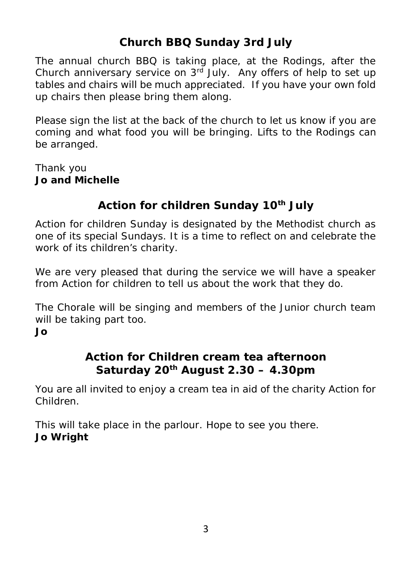# **Church BBQ Sunday 3rd July**

The annual church BBQ is taking place, at the Rodings, after the Church anniversary service on 3rd July. Any offers of help to set up tables and chairs will be much appreciated. If you have your own fold up chairs then please bring them along.

Please sign the list at the back of the church to let us know if you are coming and what food you will be bringing. Lifts to the Rodings can be arranged.

Thank you *Jo and Michelle*

## **Action for children Sunday 10th July**

Action for children Sunday is designated by the Methodist church as one of its special Sundays. It is a time to reflect on and celebrate the work of its children's charity.

We are very pleased that during the service we will have a speaker from Action for children to tell us about the work that they do.

The Chorale will be singing and members of the Junior church team will be taking part too. *Jo*

#### **Action for Children cream tea afternoon Saturday 20th August 2.30 – 4.30pm**

You are all invited to enjoy a cream tea in aid of the charity Action for Children.

This will take place in the parlour. Hope to see you there. *Jo Wright*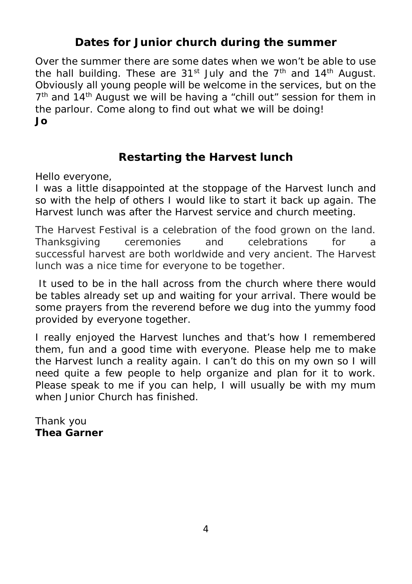#### **Dates for Junior church during the summer**

Over the summer there are some dates when we won't be able to use the hall building. These are  $31<sup>st</sup>$  July and the  $7<sup>th</sup>$  and  $14<sup>th</sup>$  August. Obviously all young people will be welcome in the services, but on the 7<sup>th</sup> and 14<sup>th</sup> August we will be having a "chill out" session for them in the parlour. Come along to find out what we will be doing! *Jo*

#### **Restarting the Harvest lunch**

Hello everyone,

I was a little disappointed at the stoppage of the Harvest lunch and so with the help of others I would like to start it back up again. The Harvest lunch was after the Harvest service and church meeting.

The Harvest Festival is a celebration of the food grown on the land. Thanksgiving ceremonies and celebrations for a successful harvest are both worldwide and very ancient. The Harvest lunch was a nice time for everyone to be together.

It used to be in the hall across from the church where there would be tables already set up and waiting for your arrival. There would be some prayers from the reverend before we dug into the yummy food provided by everyone together.

I really enjoyed the Harvest lunches and that's how I remembered them, fun and a good time with everyone. Please help me to make the Harvest lunch a reality again. I can't do this on my own so I will need quite a few people to help organize and plan for it to work. Please speak to me if you can help. I will usually be with my mum when Junior Church has finished.

Thank you *Thea Garner*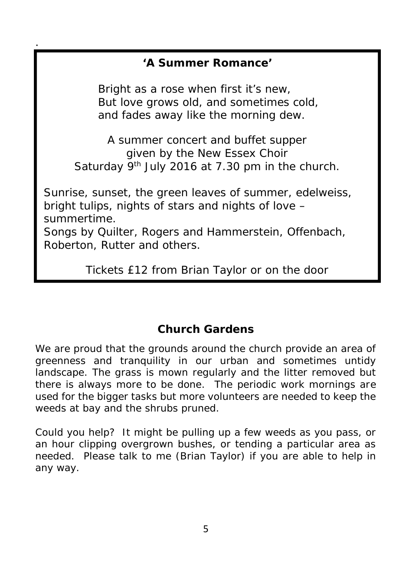**'A Summer Romance'**

.

*Bright as a rose when first it's new, But love grows old, and sometimes cold, and fades away like the morning dew.*

A summer concert and buffet supper given by the New Essex Choir Saturday 9<sup>th</sup> July 2016 at 7.30 pm in the church.

*Sunrise, sunset, the green leaves of summer, edelweiss, bright tulips, nights of stars and nights of love – summertime.*

Songs by Quilter, Rogers and Hammerstein, Offenbach, Roberton, Rutter and others.

Tickets £12 from Brian Taylor or on the door

## **Church Gardens**

We are proud that the grounds around the church provide an area of greenness and tranquility in our urban and sometimes untidy landscape. The grass is mown regularly and the litter removed but there is always more to be done. The periodic work mornings are used for the bigger tasks but more volunteers are needed to keep the weeds at bay and the shrubs pruned.

Could you help? It might be pulling up a few weeds as you pass, or an hour clipping overgrown bushes, or tending a particular area as needed. Please talk to me (Brian Taylor) if you are able to help in any way.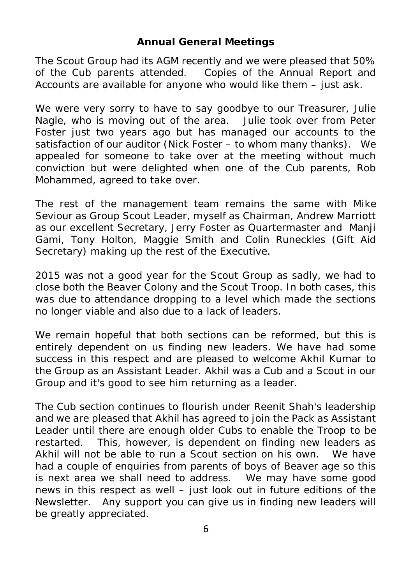#### **Annual General Meetings**

The Scout Group had its AGM recently and we were pleased that 50% of the Cub parents attended. Copies of the Annual Report and Accounts are available for anyone who would like them – just ask.

We were very sorry to have to say goodbye to our Treasurer, Julie Nagle, who is moving out of the area. Julie took over from Peter Foster just two years ago but has managed our accounts to the satisfaction of our auditor (Nick Foster – to whom many thanks). We appealed for someone to take over at the meeting without much conviction but were delighted when one of the Cub parents, Rob Mohammed, agreed to take over.

The rest of the management team remains the same with Mike Seviour as Group Scout Leader, myself as Chairman, Andrew Marriott as our excellent Secretary, Jerry Foster as Quartermaster and Manji Gami, Tony Holton, Maggie Smith and Colin Runeckles (Gift Aid Secretary) making up the rest of the Executive.

2015 was not a good year for the Scout Group as sadly, we had to close both the Beaver Colony and the Scout Troop. In both cases, this was due to attendance dropping to a level which made the sections no longer viable and also due to a lack of leaders.

We remain hopeful that both sections can be reformed, but this is entirely dependent on us finding new leaders. We have had some success in this respect and are pleased to welcome Akhil Kumar to the Group as an Assistant Leader. Akhil was a Cub and a Scout in our Group and it's good to see him returning as a leader.

The Cub section continues to flourish under Reenit Shah's leadership and we are pleased that Akhil has agreed to join the Pack as Assistant Leader until there are enough older Cubs to enable the Troop to be restarted. This, however, is dependent on finding new leaders as Akhil will not be able to run a Scout section on his own. We have had a couple of enquiries from parents of boys of Beaver age so this is next area we shall need to address. We may have some good news in this respect as well – just look out in future editions of the Newsletter. Any support you can give us in finding new leaders will be greatly appreciated.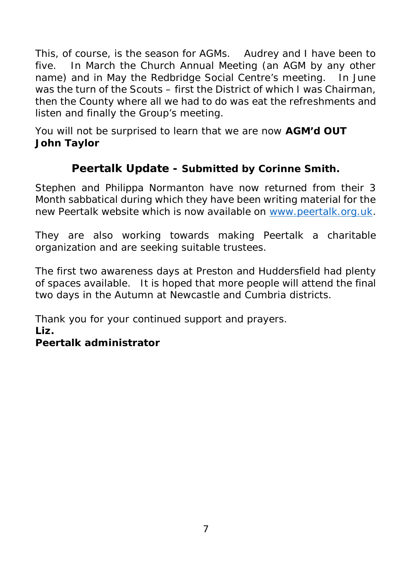This, of course, is the season for AGMs. Audrey and I have been to five. In March the Church Annual Meeting (an AGM by any other name) and in May the Redbridge Social Centre's meeting. In June was the turn of the Scouts – first the District of which I was Chairman, then the County where all we had to do was eat the refreshments and listen and finally the Group's meeting.

You will not be surprised to learn that we are now **AGM'd OUT** *John Taylor*

**Peertalk Update - Submitted by Corinne Smith.**

Stephen and Philippa Normanton have now returned from their 3 Month sabbatical during which they have been writing material for the new Peertalk website which is now available on www.peertalk.org.uk.

They are also working towards making Peertalk a charitable organization and are seeking suitable trustees.

The first two awareness days at Preston and Huddersfield had plenty of spaces available. It is hoped that more people will attend the final two days in the Autumn at Newcastle and Cumbria districts.

Thank you for your continued support and prayers.

*Liz.*

*Peertalk administrator*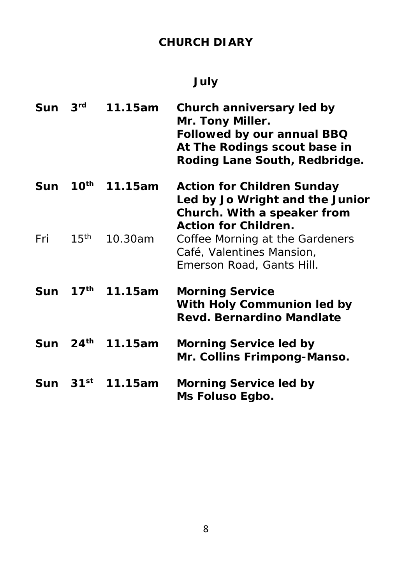# **CHURCH DIARY**

# **July**

| Sun | 3 <sup>rd</sup>    | 11.15am          | Church anniversary led by<br>Mr. Tony Miller.<br>Followed by our annual BBQ<br>At The Rodings scout base in<br>Roding Lane South, Redbridge. |
|-----|--------------------|------------------|----------------------------------------------------------------------------------------------------------------------------------------------|
| Sun | $10^{\sf th}$      | 11.15am          | Action for Children Sunday<br>Led by Jo Wright and the Junior<br>Church. With a speaker from<br>Action for Children.                         |
| Fri | 15 <sup>th</sup>   | 10.30am          | Coffee Morning at the Gardeners<br>Café, Valentines Mansion,<br>Emerson Road, Gants Hill.                                                    |
| Sun | $17^{\text{th}}$   | 11.15am          | <b>Morning Service</b><br>With Holy Communion led by<br>Revd. Bernardino Mandlate                                                            |
|     |                    | Sun 24th 11.15am | Morning Service led by<br>Mr. Collins Frimpong-Manso.                                                                                        |
| Sun | $31$ <sup>st</sup> | 11.15am          | Morning Service led by<br>Ms Foluso Egbo.                                                                                                    |